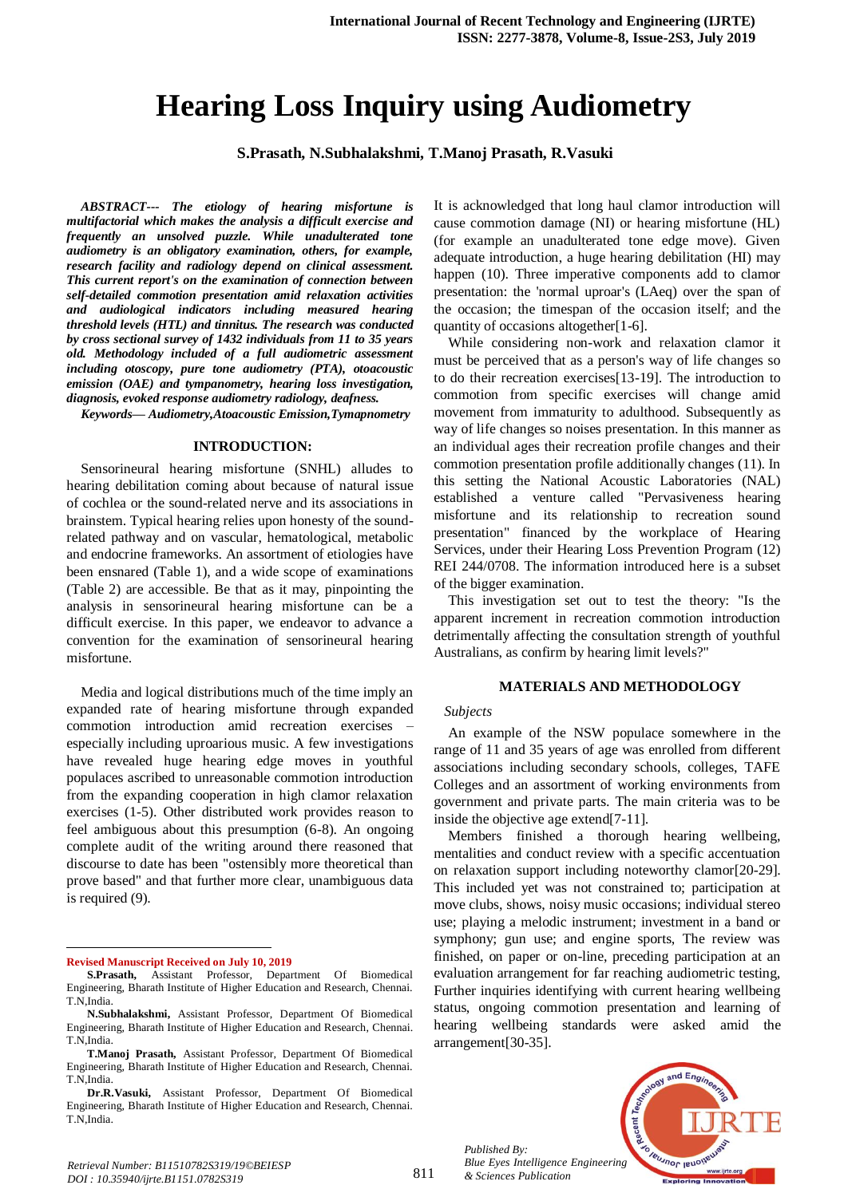# **Hearing Loss Inquiry using Audiometry**

**S.Prasath, N.Subhalakshmi, T.Manoj Prasath, R.Vasuki**

*ABSTRACT--- The etiology of hearing misfortune is multifactorial which makes the analysis a difficult exercise and frequently an unsolved puzzle. While unadulterated tone audiometry is an obligatory examination, others, for example, research facility and radiology depend on clinical assessment. This current report's on the examination of connection between self-detailed commotion presentation amid relaxation activities and audiological indicators including measured hearing threshold levels (HTL) and tinnitus. The research was conducted by cross sectional survey of 1432 individuals from 11 to 35 years old. Methodology included of a full audiometric assessment including otoscopy, pure tone audiometry (PTA), otoacoustic emission (OAE) and tympanometry, hearing loss investigation, diagnosis, evoked response audiometry radiology, deafness.*

*Keywords— Audiometry,Atoacoustic Emission,Tymapnometry*

#### **INTRODUCTION:**

Sensorineural hearing misfortune (SNHL) alludes to hearing debilitation coming about because of natural issue of cochlea or the sound-related nerve and its associations in brainstem. Typical hearing relies upon honesty of the soundrelated pathway and on vascular, hematological, metabolic and endocrine frameworks. An assortment of etiologies have been ensnared (Table 1), and a wide scope of examinations (Table 2) are accessible. Be that as it may, pinpointing the analysis in sensorineural hearing misfortune can be a difficult exercise. In this paper, we endeavor to advance a convention for the examination of sensorineural hearing misfortune.

Media and logical distributions much of the time imply an expanded rate of hearing misfortune through expanded commotion introduction amid recreation exercises – especially including uproarious music. A few investigations have revealed huge hearing edge moves in youthful populaces ascribed to unreasonable commotion introduction from the expanding cooperation in high clamor relaxation exercises (1-5). Other distributed work provides reason to feel ambiguous about this presumption (6-8). An ongoing complete audit of the writing around there reasoned that discourse to date has been "ostensibly more theoretical than prove based" and that further more clear, unambiguous data is required (9).

**Revised Manuscript Received on July 10, 2019**

1

It is acknowledged that long haul clamor introduction will cause commotion damage (NI) or hearing misfortune (HL) (for example an unadulterated tone edge move). Given adequate introduction, a huge hearing debilitation (HI) may happen (10). Three imperative components add to clamor presentation: the 'normal uproar's (LAeq) over the span of the occasion; the timespan of the occasion itself; and the quantity of occasions altogether[1-6].

While considering non-work and relaxation clamor it must be perceived that as a person's way of life changes so to do their recreation exercises[13-19]. The introduction to commotion from specific exercises will change amid movement from immaturity to adulthood. Subsequently as way of life changes so noises presentation. In this manner as an individual ages their recreation profile changes and their commotion presentation profile additionally changes (11). In this setting the National Acoustic Laboratories (NAL) established a venture called "Pervasiveness hearing misfortune and its relationship to recreation sound presentation" financed by the workplace of Hearing Services, under their Hearing Loss Prevention Program (12) REI 244/0708. The information introduced here is a subset of the bigger examination.

This investigation set out to test the theory: "Is the apparent increment in recreation commotion introduction detrimentally affecting the consultation strength of youthful Australians, as confirm by hearing limit levels?"

#### **MATERIALS AND METHODOLOGY**

#### *Subjects*

An example of the NSW populace somewhere in the range of 11 and 35 years of age was enrolled from different associations including secondary schools, colleges, TAFE Colleges and an assortment of working environments from government and private parts. The main criteria was to be inside the objective age extend[7-11].

Members finished a thorough hearing wellbeing, mentalities and conduct review with a specific accentuation on relaxation support including noteworthy clamor[20-29]. This included yet was not constrained to; participation at move clubs, shows, noisy music occasions; individual stereo use; playing a melodic instrument; investment in a band or symphony; gun use; and engine sports, The review was finished, on paper or on-line, preceding participation at an evaluation arrangement for far reaching audiometric testing, Further inquiries identifying with current hearing wellbeing status, ongoing commotion presentation and learning of hearing wellbeing standards were asked amid the arrangement[30-35].

*Published By: Blue Eyes Intelligence Engineering & Sciences Publication* 



**S.Prasath,** Assistant Professor, Department Of Biomedical Engineering, Bharath Institute of Higher Education and Research, Chennai. T.N,India.

**N.Subhalakshmi,** Assistant Professor, Department Of Biomedical Engineering, Bharath Institute of Higher Education and Research, Chennai. T.N,India.

**T.Manoj Prasath,** Assistant Professor, Department Of Biomedical Engineering, Bharath Institute of Higher Education and Research, Chennai. T.N,India.

**Dr.R.Vasuki,** Assistant Professor, Department Of Biomedical Engineering, Bharath Institute of Higher Education and Research, Chennai. T.N,India.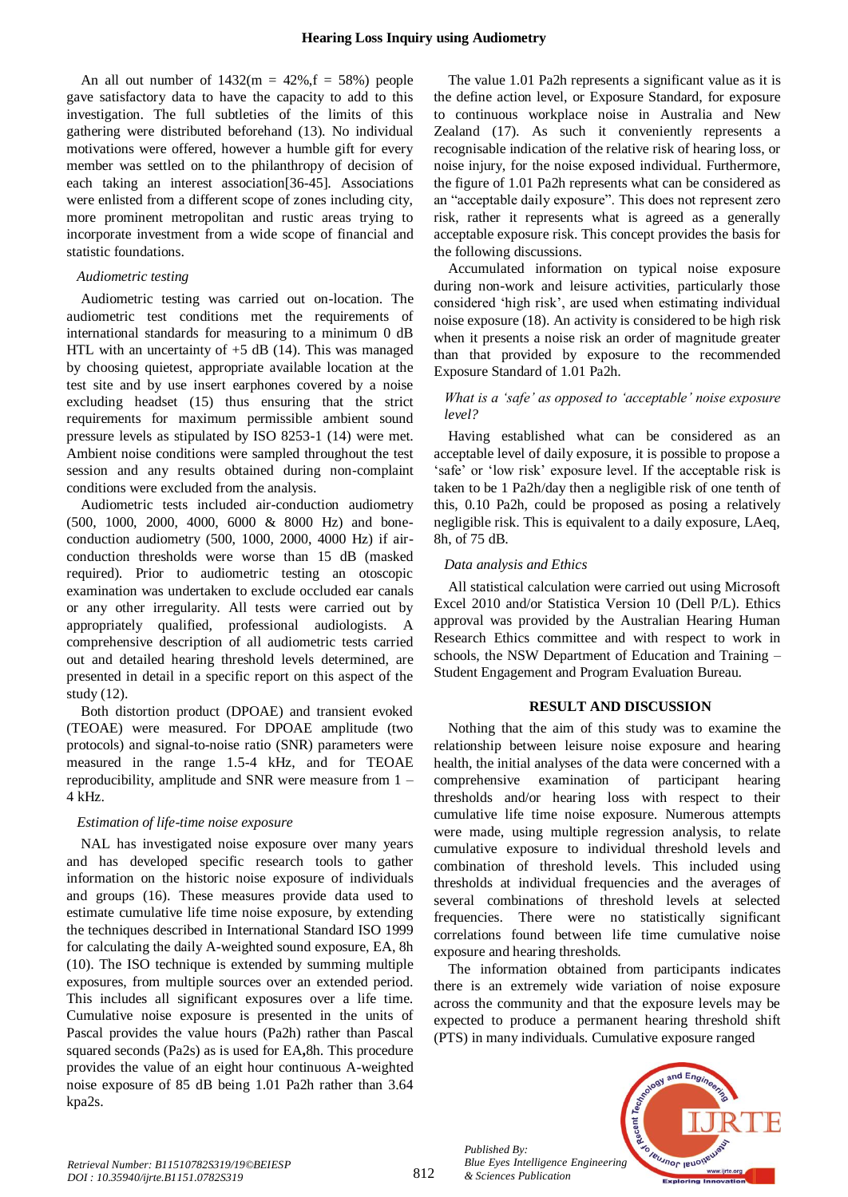An all out number of  $1432(m = 42\% \text{ f} = 58\%)$  people gave satisfactory data to have the capacity to add to this investigation. The full subtleties of the limits of this gathering were distributed beforehand (13). No individual motivations were offered, however a humble gift for every member was settled on to the philanthropy of decision of each taking an interest association[36-45]. Associations were enlisted from a different scope of zones including city, more prominent metropolitan and rustic areas trying to incorporate investment from a wide scope of financial and statistic foundations.

### *Audiometric testing*

Audiometric testing was carried out on-location. The audiometric test conditions met the requirements of international standards for measuring to a minimum 0 dB HTL with an uncertainty of  $+5$  dB (14). This was managed by choosing quietest, appropriate available location at the test site and by use insert earphones covered by a noise excluding headset (15) thus ensuring that the strict requirements for maximum permissible ambient sound pressure levels as stipulated by ISO 8253-1 (14) were met. Ambient noise conditions were sampled throughout the test session and any results obtained during non-complaint conditions were excluded from the analysis.

Audiometric tests included air-conduction audiometry (500, 1000, 2000, 4000, 6000 & 8000 Hz) and boneconduction audiometry (500, 1000, 2000, 4000 Hz) if airconduction thresholds were worse than 15 dB (masked required). Prior to audiometric testing an otoscopic examination was undertaken to exclude occluded ear canals or any other irregularity. All tests were carried out by appropriately qualified, professional audiologists. A comprehensive description of all audiometric tests carried out and detailed hearing threshold levels determined, are presented in detail in a specific report on this aspect of the study (12).

Both distortion product (DPOAE) and transient evoked (TEOAE) were measured. For DPOAE amplitude (two protocols) and signal-to-noise ratio (SNR) parameters were measured in the range 1.5-4 kHz, and for TEOAE reproducibility, amplitude and SNR were measure from 1 – 4 kHz.

# *Estimation of life-time noise exposure*

NAL has investigated noise exposure over many years and has developed specific research tools to gather information on the historic noise exposure of individuals and groups (16). These measures provide data used to estimate cumulative life time noise exposure, by extending the techniques described in International Standard ISO 1999 for calculating the daily A-weighted sound exposure, EA, 8h (10). The ISO technique is extended by summing multiple exposures, from multiple sources over an extended period. This includes all significant exposures over a life time. Cumulative noise exposure is presented in the units of Pascal provides the value hours (Pa2h) rather than Pascal squared seconds (Pa2s) as is used for EA**,**8h. This procedure provides the value of an eight hour continuous A-weighted noise exposure of 85 dB being 1.01 Pa2h rather than 3.64 kpa2s.

The value 1.01 Pa2h represents a significant value as it is the define action level, or Exposure Standard, for exposure to continuous workplace noise in Australia and New Zealand (17). As such it conveniently represents a recognisable indication of the relative risk of hearing loss, or noise injury, for the noise exposed individual. Furthermore, the figure of 1.01 Pa2h represents what can be considered as an "acceptable daily exposure". This does not represent zero risk, rather it represents what is agreed as a generally acceptable exposure risk. This concept provides the basis for the following discussions.

Accumulated information on typical noise exposure during non-work and leisure activities, particularly those considered 'high risk', are used when estimating individual noise exposure (18). An activity is considered to be high risk when it presents a noise risk an order of magnitude greater than that provided by exposure to the recommended Exposure Standard of 1.01 Pa2h.

# *What is a 'safe' as opposed to 'acceptable' noise exposure level?*

Having established what can be considered as an acceptable level of daily exposure, it is possible to propose a 'safe' or 'low risk' exposure level. If the acceptable risk is taken to be 1 Pa2h/day then a negligible risk of one tenth of this, 0.10 Pa2h, could be proposed as posing a relatively negligible risk. This is equivalent to a daily exposure, LAeq, 8h, of 75 dB.

### *Data analysis and Ethics*

All statistical calculation were carried out using Microsoft Excel 2010 and/or Statistica Version 10 (Dell P/L). Ethics approval was provided by the Australian Hearing Human Research Ethics committee and with respect to work in schools, the NSW Department of Education and Training – Student Engagement and Program Evaluation Bureau.

## **RESULT AND DISCUSSION**

Nothing that the aim of this study was to examine the relationship between leisure noise exposure and hearing health, the initial analyses of the data were concerned with a comprehensive examination of participant hearing thresholds and/or hearing loss with respect to their cumulative life time noise exposure. Numerous attempts were made, using multiple regression analysis, to relate cumulative exposure to individual threshold levels and combination of threshold levels. This included using thresholds at individual frequencies and the averages of several combinations of threshold levels at selected frequencies. There were no statistically significant correlations found between life time cumulative noise exposure and hearing thresholds.

The information obtained from participants indicates there is an extremely wide variation of noise exposure across the community and that the exposure levels may be expected to produce a permanent hearing threshold shift (PTS) in many individuals. Cumulative exposure ranged



*Published By:*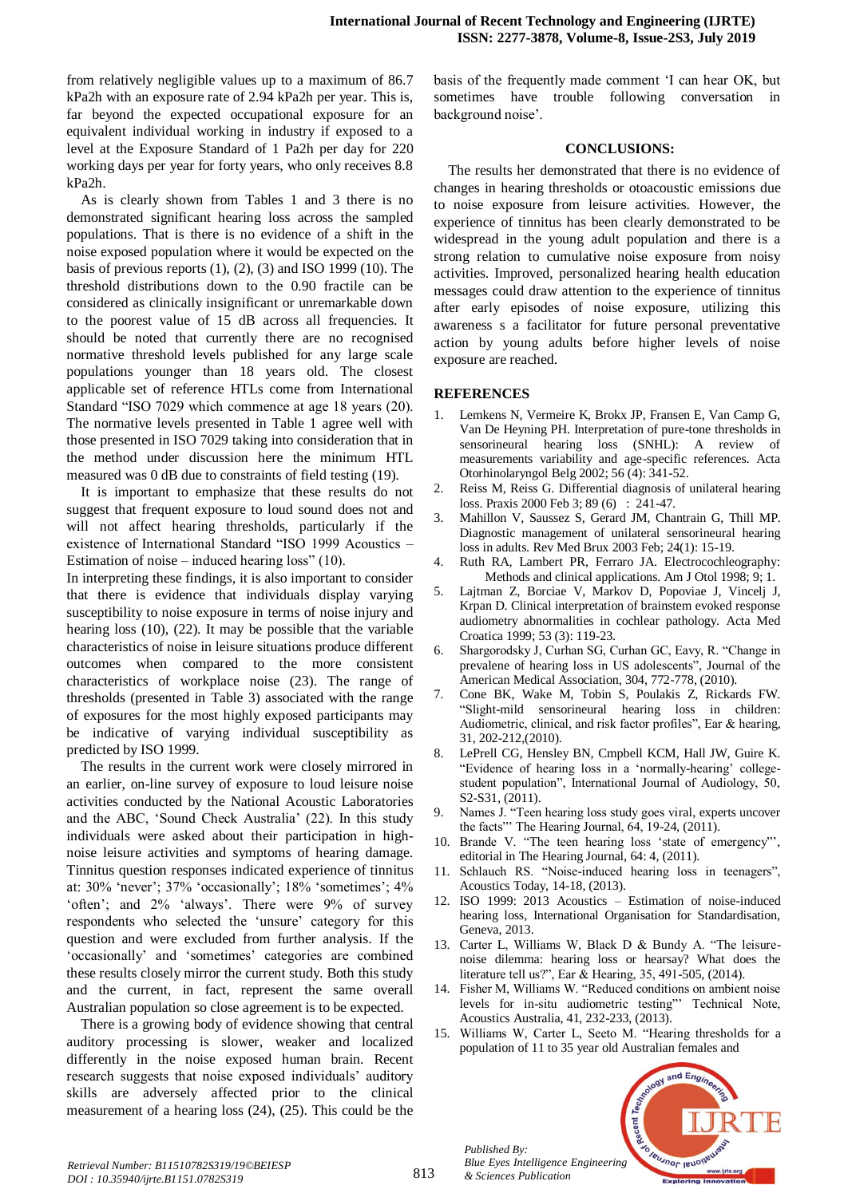from relatively negligible values up to a maximum of 86.7 kPa2h with an exposure rate of 2.94 kPa2h per year. This is, far beyond the expected occupational exposure for an equivalent individual working in industry if exposed to a level at the Exposure Standard of 1 Pa2h per day for 220 working days per year for forty years, who only receives 8.8 kPa2h.

As is clearly shown from Tables 1 and 3 there is no demonstrated significant hearing loss across the sampled populations. That is there is no evidence of a shift in the noise exposed population where it would be expected on the basis of previous reports (1), (2), (3) and ISO 1999 (10). The threshold distributions down to the 0.90 fractile can be considered as clinically insignificant or unremarkable down to the poorest value of 15 dB across all frequencies. It should be noted that currently there are no recognised normative threshold levels published for any large scale populations younger than 18 years old. The closest applicable set of reference HTLs come from International Standard "ISO 7029 which commence at age 18 years (20). The normative levels presented in Table 1 agree well with those presented in ISO 7029 taking into consideration that in the method under discussion here the minimum HTL measured was 0 dB due to constraints of field testing (19).

It is important to emphasize that these results do not suggest that frequent exposure to loud sound does not and will not affect hearing thresholds, particularly if the existence of International Standard "ISO 1999 Acoustics – Estimation of noise – induced hearing loss"  $(10)$ .

In interpreting these findings, it is also important to consider that there is evidence that individuals display varying susceptibility to noise exposure in terms of noise injury and hearing loss (10), (22). It may be possible that the variable characteristics of noise in leisure situations produce different outcomes when compared to the more consistent characteristics of workplace noise (23). The range of thresholds (presented in Table 3) associated with the range of exposures for the most highly exposed participants may be indicative of varying individual susceptibility as predicted by ISO 1999.

The results in the current work were closely mirrored in an earlier, on-line survey of exposure to loud leisure noise activities conducted by the National Acoustic Laboratories and the ABC, 'Sound Check Australia' (22). In this study individuals were asked about their participation in highnoise leisure activities and symptoms of hearing damage. Tinnitus question responses indicated experience of tinnitus at: 30% 'never'; 37% 'occasionally'; 18% 'sometimes'; 4% 'often'; and 2% 'always'. There were 9% of survey respondents who selected the 'unsure' category for this question and were excluded from further analysis. If the 'occasionally' and 'sometimes' categories are combined these results closely mirror the current study. Both this study and the current, in fact, represent the same overall Australian population so close agreement is to be expected.

There is a growing body of evidence showing that central auditory processing is slower, weaker and localized differently in the noise exposed human brain. Recent research suggests that noise exposed individuals' auditory skills are adversely affected prior to the clinical measurement of a hearing loss (24), (25). This could be the basis of the frequently made comment 'I can hear OK, but sometimes have trouble following conversation in background noise'.

# **CONCLUSIONS:**

The results her demonstrated that there is no evidence of changes in hearing thresholds or otoacoustic emissions due to noise exposure from leisure activities. However, the experience of tinnitus has been clearly demonstrated to be widespread in the young adult population and there is a strong relation to cumulative noise exposure from noisy activities. Improved, personalized hearing health education messages could draw attention to the experience of tinnitus after early episodes of noise exposure, utilizing this awareness s a facilitator for future personal preventative action by young adults before higher levels of noise exposure are reached.

# **REFERENCES**

- 1. Lemkens N, Vermeire K, Brokx JP, Fransen E, Van Camp G, Van De Heyning PH. Interpretation of pure-tone thresholds in sensorineural hearing loss (SNHL): A review of measurements variability and age-specific references. Acta Otorhinolaryngol Belg 2002; 56 (4): 341-52.
- 2. Reiss M, Reiss G. Differential diagnosis of unilateral hearing loss. Praxis 2000 Feb 3; 89 (6) : 241-47.
- 3. Mahillon V, Saussez S, Gerard JM, Chantrain G, Thill MP. Diagnostic management of unilateral sensorineural hearing loss in adults. Rev Med Brux 2003 Feb; 24(1): 15-19.
- 4. Ruth RA, Lambert PR, Ferraro JA. Electrocochleography: Methods and clinical applications. Am J Otol 1998; 9; 1.
- 5. Lajtman Z, Borciae V, Markov D, Popoviae J, Vincelj J, Krpan D. Clinical interpretation of brainstem evoked response audiometry abnormalities in cochlear pathology. Acta Med Croatica 1999; 53 (3): 119-23.
- 6. Shargorodsky J, Curhan SG, Curhan GC, Eavy, R. "Change in prevalene of hearing loss in US adolescents", Journal of the American Medical Association, 304, 772-778, (2010).
- 7. Cone BK, Wake M, Tobin S, Poulakis Z, Rickards FW. "Slight-mild sensorineural hearing loss in children: Audiometric, clinical, and risk factor profiles", Ear & hearing, 31, 202-212,(2010).
- 8. LePrell CG, Hensley BN, Cmpbell KCM, Hall JW, Guire K. "Evidence of hearing loss in a 'normally-hearing' collegestudent population", International Journal of Audiology, 50, S2-S31, (2011).
- 9. Names J. "Teen hearing loss study goes viral, experts uncover the facts" The Hearing Journal, 64, 19-24, (2011).
- 10. Brande V. "The teen hearing loss 'state of emergency"', editorial in The Hearing Journal, 64: 4, (2011).
- 11. Schlauch RS. "Noise-induced hearing loss in teenagers", Acoustics Today, 14-18, (2013).
- 12. ISO 1999: 2013 Acoustics Estimation of noise-induced hearing loss, International Organisation for Standardisation, Geneva, 2013.
- 13. Carter L, Williams W, Black D & Bundy A. "The leisurenoise dilemma: hearing loss or hearsay? What does the literature tell us?", Ear & Hearing, 35, 491-505, (2014).
- 14. Fisher M, Williams W. "Reduced conditions on ambient noise levels for in-situ audiometric testing"' Technical Note, Acoustics Australia, 41, 232-233, (2013).
- 15. Williams W, Carter L, Seeto M. "Hearing thresholds for a population of 11 to 35 year old Australian females and



*Published By:*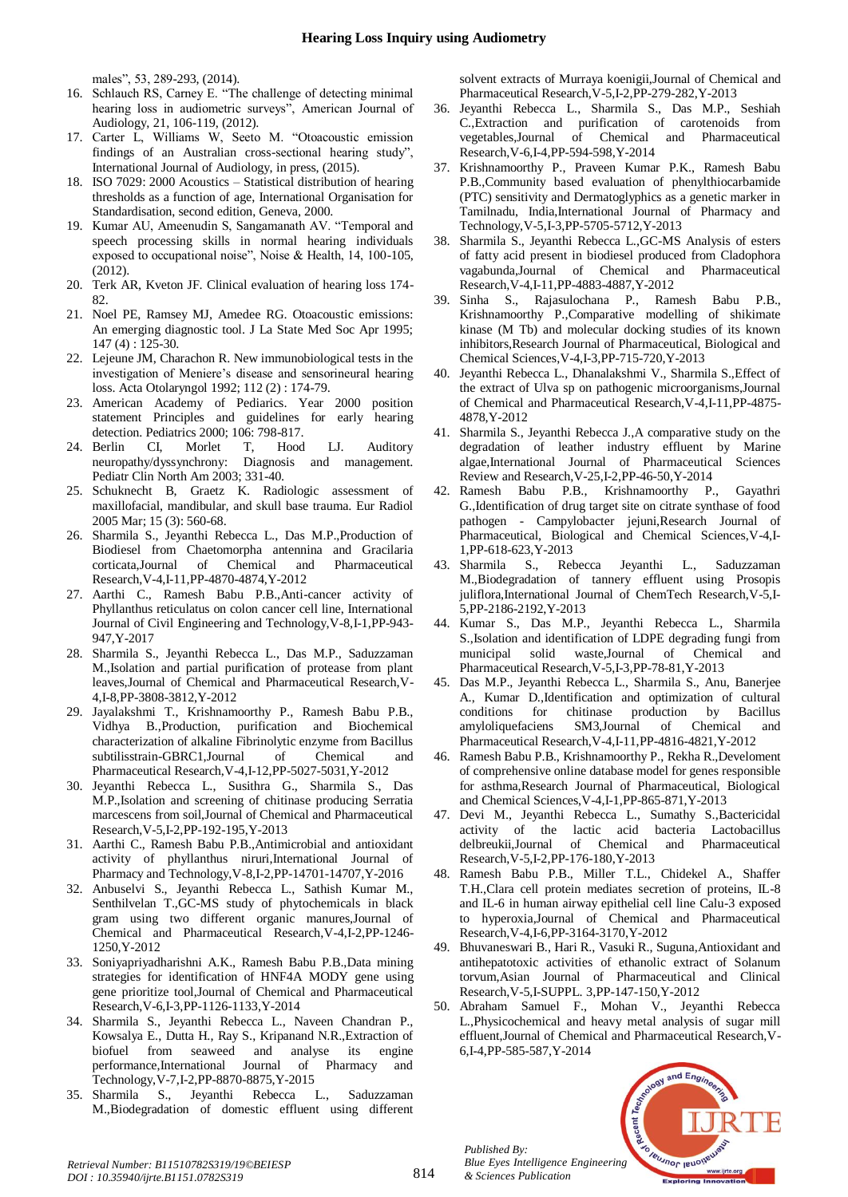males", 53, 289-293, (2014).

- 16. Schlauch RS, Carney E. "The challenge of detecting minimal hearing loss in audiometric surveys", American Journal of Audiology, 21, 106-119, (2012).
- 17. Carter L, Williams W, Seeto M. "Otoacoustic emission findings of an Australian cross-sectional hearing study", International Journal of Audiology, in press, (2015).
- 18. ISO 7029: 2000 Acoustics Statistical distribution of hearing thresholds as a function of age, International Organisation for Standardisation, second edition, Geneva, 2000.
- 19. Kumar AU, Ameenudin S, Sangamanath AV. "Temporal and speech processing skills in normal hearing individuals exposed to occupational noise", Noise & Health, 14, 100-105, (2012).
- 20. Terk AR, Kveton JF. Clinical evaluation of hearing loss 174- 82.
- 21. Noel PE, Ramsey MJ, Amedee RG. Otoacoustic emissions: An emerging diagnostic tool. J La State Med Soc Apr 1995; 147 (4) : 125-30.
- 22. Lejeune JM, Charachon R. New immunobiological tests in the investigation of Meniere's disease and sensorineural hearing loss. Acta Otolaryngol 1992; 112 (2) : 174-79.
- 23. American Academy of Pediarics. Year 2000 position statement Principles and guidelines for early hearing detection. Pediatrics 2000; 106: 798-817.
- 24. Berlin CI, Morlet T, Hood LJ. Auditory neuropathy/dyssynchrony: Diagnosis and management. Pediatr Clin North Am 2003; 331-40.
- 25. Schuknecht B, Graetz K. Radiologic assessment of maxillofacial, mandibular, and skull base trauma. Eur Radiol 2005 Mar; 15 (3): 560-68.
- 26. Sharmila S., Jeyanthi Rebecca L., Das M.P.,Production of Biodiesel from Chaetomorpha antennina and Gracilaria corticata,Journal of Chemical and Pharmaceutical Research,V-4,I-11,PP-4870-4874,Y-2012
- 27. Aarthi C., Ramesh Babu P.B.,Anti-cancer activity of Phyllanthus reticulatus on colon cancer cell line, International Journal of Civil Engineering and Technology,V-8,I-1,PP-943- 947,Y-2017
- 28. Sharmila S., Jeyanthi Rebecca L., Das M.P., Saduzzaman M.,Isolation and partial purification of protease from plant leaves,Journal of Chemical and Pharmaceutical Research,V-4,I-8,PP-3808-3812,Y-2012
- 29. Jayalakshmi T., Krishnamoorthy P., Ramesh Babu P.B., Vidhya B.,Production, purification and Biochemical characterization of alkaline Fibrinolytic enzyme from Bacillus subtilisstrain-GBRC1,Journal of Chemical and Pharmaceutical Research,V-4,I-12,PP-5027-5031,Y-2012
- 30. Jeyanthi Rebecca L., Susithra G., Sharmila S., Das M.P.,Isolation and screening of chitinase producing Serratia marcescens from soil,Journal of Chemical and Pharmaceutical Research,V-5,I-2,PP-192-195,Y-2013
- 31. Aarthi C., Ramesh Babu P.B.,Antimicrobial and antioxidant activity of phyllanthus niruri,International Journal of Pharmacy and Technology,V-8,I-2,PP-14701-14707,Y-2016
- 32. Anbuselvi S., Jeyanthi Rebecca L., Sathish Kumar M., Senthilvelan T.,GC-MS study of phytochemicals in black gram using two different organic manures,Journal of Chemical and Pharmaceutical Research,V-4,I-2,PP-1246- 1250,Y-2012
- 33. Soniyapriyadharishni A.K., Ramesh Babu P.B.,Data mining strategies for identification of HNF4A MODY gene using gene prioritize tool,Journal of Chemical and Pharmaceutical Research,V-6,I-3,PP-1126-1133,Y-2014
- 34. Sharmila S., Jeyanthi Rebecca L., Naveen Chandran P., Kowsalya E., Dutta H., Ray S., Kripanand N.R.,Extraction of biofuel from seaweed and analyse its engine performance,International Journal of Pharmacy and Technology,V-7,I-2,PP-8870-8875,Y-2015
- 35. Sharmila S., Jeyanthi Rebecca L., Saduzzaman M.,Biodegradation of domestic effluent using different

solvent extracts of Murraya koenigii,Journal of Chemical and Pharmaceutical Research,V-5,I-2,PP-279-282,Y-2013

- 36. Jeyanthi Rebecca L., Sharmila S., Das M.P., Seshiah C.,Extraction and purification of carotenoids from vegetables,Journal of Chemical and Pharmaceutical Research,V-6,I-4,PP-594-598,Y-2014
- 37. Krishnamoorthy P., Praveen Kumar P.K., Ramesh Babu P.B.,Community based evaluation of phenylthiocarbamide (PTC) sensitivity and Dermatoglyphics as a genetic marker in Tamilnadu, India,International Journal of Pharmacy and Technology,V-5,I-3,PP-5705-5712,Y-2013
- 38. Sharmila S., Jeyanthi Rebecca L.,GC-MS Analysis of esters of fatty acid present in biodiesel produced from Cladophora vagabunda,Journal of Chemical and Pharmaceutical Research,V-4,I-11,PP-4883-4887,Y-2012
- 39. Sinha S., Rajasulochana P., Ramesh Babu P.B., Krishnamoorthy P.,Comparative modelling of shikimate kinase (M Tb) and molecular docking studies of its known inhibitors,Research Journal of Pharmaceutical, Biological and Chemical Sciences,V-4,I-3,PP-715-720,Y-2013
- 40. Jeyanthi Rebecca L., Dhanalakshmi V., Sharmila S.,Effect of the extract of Ulva sp on pathogenic microorganisms,Journal of Chemical and Pharmaceutical Research,V-4,I-11,PP-4875- 4878,Y-2012
- 41. Sharmila S., Jeyanthi Rebecca J.,A comparative study on the degradation of leather industry effluent by Marine algae,International Journal of Pharmaceutical Sciences Review and Research,V-25,I-2,PP-46-50,Y-2014
- 42. Ramesh Babu P.B., Krishnamoorthy P., Gayathri G.,Identification of drug target site on citrate synthase of food pathogen - Campylobacter jejuni,Research Journal of Pharmaceutical, Biological and Chemical Sciences,V-4,I-1,PP-618-623,Y-2013
- 43. Sharmila S., Rebecca Jeyanthi L., Saduzzaman M.,Biodegradation of tannery effluent using Prosopis juliflora,International Journal of ChemTech Research, V-5,I-5,PP-2186-2192,Y-2013
- 44. Kumar S., Das M.P., Jeyanthi Rebecca L., Sharmila S.,Isolation and identification of LDPE degrading fungi from municipal solid waste,Journal of Chemical Pharmaceutical Research,V-5,I-3,PP-78-81,Y-2013
- 45. Das M.P., Jeyanthi Rebecca L., Sharmila S., Anu, Banerjee A., Kumar D.,Identification and optimization of cultural conditions for chitinase production by Bacillus amyloliquefaciens SM3,Journal of Chemical and Pharmaceutical Research,V-4,I-11,PP-4816-4821,Y-2012
- 46. Ramesh Babu P.B., Krishnamoorthy P., Rekha R.,Develoment of comprehensive online database model for genes responsible for asthma,Research Journal of Pharmaceutical, Biological and Chemical Sciences,V-4,I-1,PP-865-871,Y-2013
- 47. Devi M., Jeyanthi Rebecca L., Sumathy S.,Bactericidal activity of the lactic acid bacteria Lactobacillus delbreukii,Journal of Chemical and Pharmaceutical Research,V-5,I-2,PP-176-180,Y-2013
- 48. Ramesh Babu P.B., Miller T.L., Chidekel A., Shaffer T.H.,Clara cell protein mediates secretion of proteins, IL-8 and IL-6 in human airway epithelial cell line Calu-3 exposed to hyperoxia,Journal of Chemical and Pharmaceutical Research,V-4,I-6,PP-3164-3170,Y-2012
- 49. Bhuvaneswari B., Hari R., Vasuki R., Suguna,Antioxidant and antihepatotoxic activities of ethanolic extract of Solanum torvum,Asian Journal of Pharmaceutical and Clinical Research,V-5,I-SUPPL. 3,PP-147-150,Y-2012
- 50. Abraham Samuel F., Mohan V., Jeyanthi Rebecca L.,Physicochemical and heavy metal analysis of sugar mill effluent,Journal of Chemical and Pharmaceutical Research,V-6,I-4,PP-585-587,Y-2014



*Published By:*